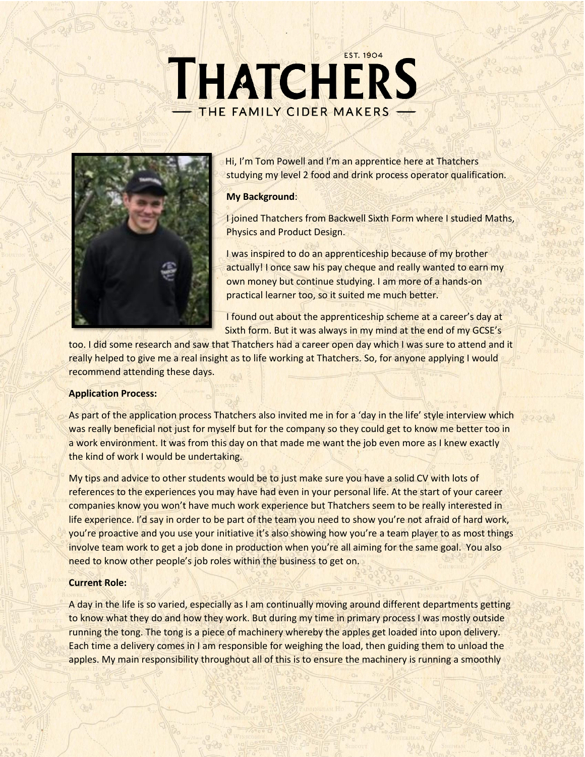# **EST. 1904** THATCHERS THE FAMILY CIDER MAKERS



Hi, I'm Tom Powell and I'm an apprentice here at Thatchers studying my level 2 food and drink process operator qualification.

## **My Background**:

I joined Thatchers from Backwell Sixth Form where I studied Maths, Physics and Product Design.

I was inspired to do an apprenticeship because of my brother actually! I once saw his pay cheque and really wanted to earn my own money but continue studying. I am more of a hands-on practical learner too, so it suited me much better.

I found out about the apprenticeship scheme at a career's day at Sixth form. But it was always in my mind at the end of my GCSE's

too. I did some research and saw that Thatchers had a career open day which I was sure to attend and it really helped to give me a real insight as to life working at Thatchers. So, for anyone applying I would recommend attending these days.

## **Application Process:**

As part of the application process Thatchers also invited me in for a 'day in the life' style interview which was really beneficial not just for myself but for the company so they could get to know me better too in a work environment. It was from this day on that made me want the job even more as I knew exactly the kind of work I would be undertaking.

My tips and advice to other students would be to just make sure you have a solid CV with lots of references to the experiences you may have had even in your personal life. At the start of your career companies know you won't have much work experience but Thatchers seem to be really interested in life experience. I'd say in order to be part of the team you need to show you're not afraid of hard work, you're proactive and you use your initiative it's also showing how you're a team player to as most things involve team work to get a job done in production when you're all aiming for the same goal. You also need to know other people's job roles within the business to get on.

# **Current Role:**

A day in the life is so varied, especially as I am continually moving around different departments getting to know what they do and how they work. But during my time in primary process I was mostly outside running the tong. The tong is a piece of machinery whereby the apples get loaded into upon delivery. Each time a delivery comes in I am responsible for weighing the load, then guiding them to unload the apples. My main responsibility throughout all of this is to ensure the machinery is running a smoothly